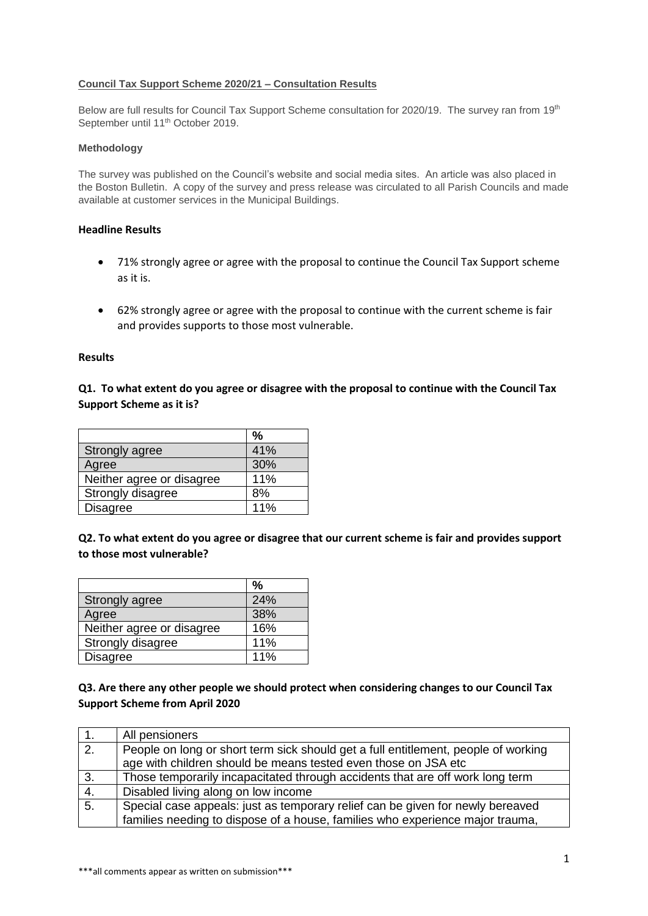### **Council Tax Support Scheme 2020/21 – Consultation Results**

Below are full results for Council Tax Support Scheme consultation for 2020/19. The survey ran from 19<sup>th</sup> September until 11<sup>th</sup> October 2019.

#### **Methodology**

The survey was published on the Council's website and social media sites. An article was also placed in the Boston Bulletin. A copy of the survey and press release was circulated to all Parish Councils and made available at customer services in the Municipal Buildings.

## **Headline Results**

- 71% strongly agree or agree with the proposal to continue the Council Tax Support scheme as it is.
- 62% strongly agree or agree with the proposal to continue with the current scheme is fair and provides supports to those most vulnerable.

#### **Results**

# **Q1. To what extent do you agree or disagree with the proposal to continue with the Council Tax Support Scheme as it is?**

|                           | %   |
|---------------------------|-----|
| <b>Strongly agree</b>     | 41% |
| Agree                     | 30% |
| Neither agree or disagree | 11% |
| Strongly disagree         | 8%  |
| Disagree                  | 11% |

**Q2. To what extent do you agree or disagree that our current scheme is fair and provides support to those most vulnerable?**

|                           | %   |
|---------------------------|-----|
| Strongly agree            | 24% |
| Agree                     | 38% |
| Neither agree or disagree | 16% |
| Strongly disagree         | 11% |
| <b>Disagree</b>           | 11% |

## **Q3. Are there any other people we should protect when considering changes to our Council Tax Support Scheme from April 2020**

|                  | All pensioners                                                                     |
|------------------|------------------------------------------------------------------------------------|
| $\overline{2}$ . | People on long or short term sick should get a full entitlement, people of working |
|                  | age with children should be means tested even those on JSA etc                     |
| 3.               | Those temporarily incapacitated through accidents that are off work long term      |
| 4.               | Disabled living along on low income                                                |
| 5 <sub>1</sub>   | Special case appeals: just as temporary relief can be given for newly bereaved     |
|                  | families needing to dispose of a house, families who experience major trauma,      |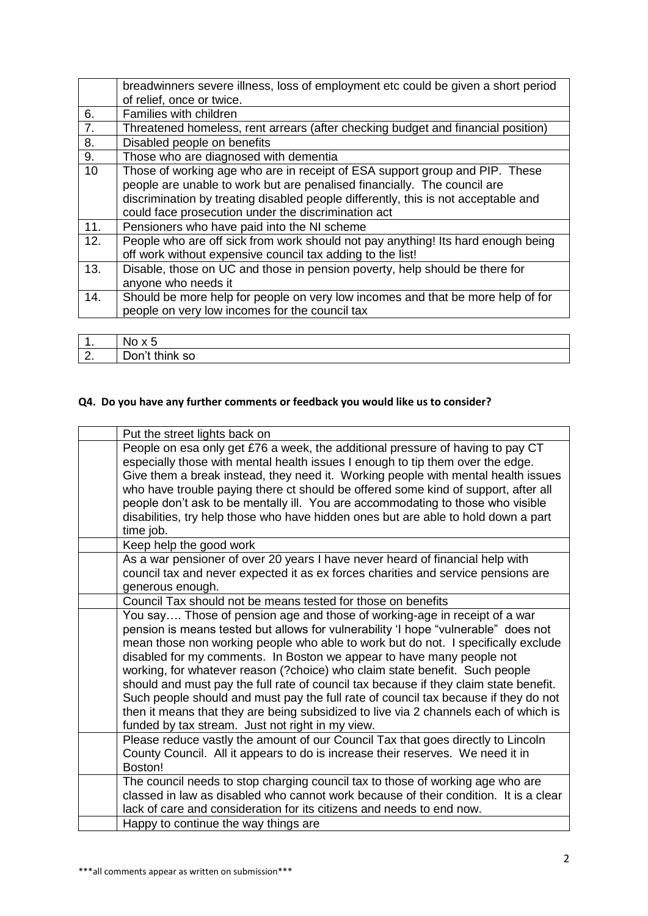|     | breadwinners severe illness, loss of employment etc could be given a short period  |
|-----|------------------------------------------------------------------------------------|
|     | of relief, once or twice.                                                          |
| 6.  | Families with children                                                             |
| 7.  | Threatened homeless, rent arrears (after checking budget and financial position)   |
| 8.  | Disabled people on benefits                                                        |
| 9.  | Those who are diagnosed with dementia                                              |
| 10  | Those of working age who are in receipt of ESA support group and PIP. These        |
|     | people are unable to work but are penalised financially. The council are           |
|     | discrimination by treating disabled people differently, this is not acceptable and |
|     | could face prosecution under the discrimination act                                |
| 11. | Pensioners who have paid into the NI scheme                                        |
| 12. | People who are off sick from work should not pay anything! Its hard enough being   |
|     | off work without expensive council tax adding to the list!                         |
| 13. | Disable, those on UC and those in pension poverty, help should be there for        |
|     | anyone who needs it                                                                |
| 14. | Should be more help for people on very low incomes and that be more help of for    |
|     | people on very low incomes for the council tax                                     |
|     |                                                                                    |

| . .          | NO.<br>ັ       |
|--------------|----------------|
| $\sim$<br>L. | Don't think so |

# **Q4. Do you have any further comments or feedback you would like us to consider?**

| People on esa only get £76 a week, the additional pressure of having to pay CT<br>especially those with mental health issues I enough to tip them over the edge.<br>Give them a break instead, they need it. Working people with mental health issues<br>who have trouble paying there ct should be offered some kind of support, after all<br>people don't ask to be mentally ill. You are accommodating to those who visible<br>disabilities, try help those who have hidden ones but are able to hold down a part<br>time job.<br>Keep help the good work<br>As a war pensioner of over 20 years I have never heard of financial help with<br>council tax and never expected it as ex forces charities and service pensions are<br>generous enough.<br>Council Tax should not be means tested for those on benefits<br>You say Those of pension age and those of working-age in receipt of a war<br>pension is means tested but allows for vulnerability 'I hope "vulnerable" does not<br>mean those non working people who able to work but do not. I specifically exclude<br>disabled for my comments. In Boston we appear to have many people not<br>working, for whatever reason (?choice) who claim state benefit. Such people<br>should and must pay the full rate of council tax because if they claim state benefit.<br>Such people should and must pay the full rate of council tax because if they do not<br>then it means that they are being subsidized to live via 2 channels each of which is<br>funded by tax stream. Just not right in my view.<br>Please reduce vastly the amount of our Council Tax that goes directly to Lincoln<br>County Council. All it appears to do is increase their reserves. We need it in<br>Boston!<br>The council needs to stop charging council tax to those of working age who are<br>classed in law as disabled who cannot work because of their condition. It is a clear<br>lack of care and consideration for its citizens and needs to end now.<br>Happy to continue the way things are | Put the street lights back on |
|------------------------------------------------------------------------------------------------------------------------------------------------------------------------------------------------------------------------------------------------------------------------------------------------------------------------------------------------------------------------------------------------------------------------------------------------------------------------------------------------------------------------------------------------------------------------------------------------------------------------------------------------------------------------------------------------------------------------------------------------------------------------------------------------------------------------------------------------------------------------------------------------------------------------------------------------------------------------------------------------------------------------------------------------------------------------------------------------------------------------------------------------------------------------------------------------------------------------------------------------------------------------------------------------------------------------------------------------------------------------------------------------------------------------------------------------------------------------------------------------------------------------------------------------------------------------------------------------------------------------------------------------------------------------------------------------------------------------------------------------------------------------------------------------------------------------------------------------------------------------------------------------------------------------------------------------------------------------------------------------------------------------------------------------|-------------------------------|
|                                                                                                                                                                                                                                                                                                                                                                                                                                                                                                                                                                                                                                                                                                                                                                                                                                                                                                                                                                                                                                                                                                                                                                                                                                                                                                                                                                                                                                                                                                                                                                                                                                                                                                                                                                                                                                                                                                                                                                                                                                                |                               |
|                                                                                                                                                                                                                                                                                                                                                                                                                                                                                                                                                                                                                                                                                                                                                                                                                                                                                                                                                                                                                                                                                                                                                                                                                                                                                                                                                                                                                                                                                                                                                                                                                                                                                                                                                                                                                                                                                                                                                                                                                                                |                               |
|                                                                                                                                                                                                                                                                                                                                                                                                                                                                                                                                                                                                                                                                                                                                                                                                                                                                                                                                                                                                                                                                                                                                                                                                                                                                                                                                                                                                                                                                                                                                                                                                                                                                                                                                                                                                                                                                                                                                                                                                                                                |                               |
|                                                                                                                                                                                                                                                                                                                                                                                                                                                                                                                                                                                                                                                                                                                                                                                                                                                                                                                                                                                                                                                                                                                                                                                                                                                                                                                                                                                                                                                                                                                                                                                                                                                                                                                                                                                                                                                                                                                                                                                                                                                |                               |
|                                                                                                                                                                                                                                                                                                                                                                                                                                                                                                                                                                                                                                                                                                                                                                                                                                                                                                                                                                                                                                                                                                                                                                                                                                                                                                                                                                                                                                                                                                                                                                                                                                                                                                                                                                                                                                                                                                                                                                                                                                                |                               |
|                                                                                                                                                                                                                                                                                                                                                                                                                                                                                                                                                                                                                                                                                                                                                                                                                                                                                                                                                                                                                                                                                                                                                                                                                                                                                                                                                                                                                                                                                                                                                                                                                                                                                                                                                                                                                                                                                                                                                                                                                                                |                               |
|                                                                                                                                                                                                                                                                                                                                                                                                                                                                                                                                                                                                                                                                                                                                                                                                                                                                                                                                                                                                                                                                                                                                                                                                                                                                                                                                                                                                                                                                                                                                                                                                                                                                                                                                                                                                                                                                                                                                                                                                                                                |                               |
|                                                                                                                                                                                                                                                                                                                                                                                                                                                                                                                                                                                                                                                                                                                                                                                                                                                                                                                                                                                                                                                                                                                                                                                                                                                                                                                                                                                                                                                                                                                                                                                                                                                                                                                                                                                                                                                                                                                                                                                                                                                |                               |